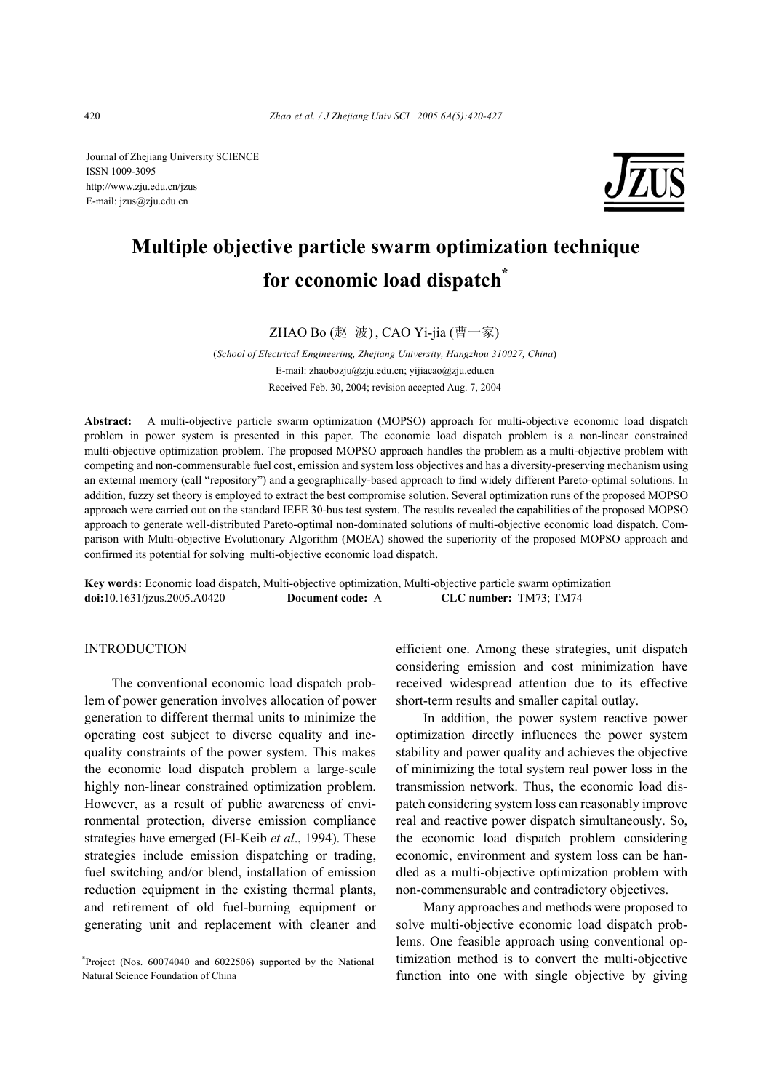Journal of Zhejiang University SCIENCE ISSN 1009-3095 http://www.zju.edu.cn/jzus E-mail: jzus@zju.edu.cn



# **Multiple objective particle swarm optimization technique for economic load dispatch\***

ZHAO Bo (赵 波), CAO Yi-jia (曹一家)

(*School of Electrical Engineering, Zhejiang University, Hangzhou 310027, China*) E-mail: zhaobozju@zju.edu.cn; yijiacao@zju.edu.cn Received Feb. 30, 2004; revision accepted Aug. 7, 2004

**Abstract:** A multi-objective particle swarm optimization (MOPSO) approach for multi-objective economic load dispatch problem in power system is presented in this paper. The economic load dispatch problem is a non-linear constrained multi-objective optimization problem. The proposed MOPSO approach handles the problem as a multi-objective problem with competing and non-commensurable fuel cost, emission and system loss objectives and has a diversity-preserving mechanism using an external memory (call "repository") and a geographically-based approach to find widely different Pareto-optimal solutions. In addition, fuzzy set theory is employed to extract the best compromise solution. Several optimization runs of the proposed MOPSO approach were carried out on the standard IEEE 30-bus test system. The results revealed the capabilities of the proposed MOPSO approach to generate well-distributed Pareto-optimal non-dominated solutions of multi-objective economic load dispatch. Comparison with Multi-objective Evolutionary Algorithm (MOEA) showed the superiority of the proposed MOPSO approach and confirmed its potential for solving multi-objective economic load dispatch.

**Key words:** Economic load dispatch, Multi-objective optimization, Multi-objective particle swarm optimization **doi:**10.1631/jzus.2005.A0420 **Document code:** A **CLC number:** TM73; TM74

# INTRODUCTION

The conventional economic load dispatch problem of power generation involves allocation of power generation to different thermal units to minimize the operating cost subject to diverse equality and inequality constraints of the power system. This makes the economic load dispatch problem a large-scale highly non-linear constrained optimization problem. However, as a result of public awareness of environmental protection, diverse emission compliance strategies have emerged (El-Keib *et al*., 1994). These strategies include emission dispatching or trading, fuel switching and/or blend, installation of emission reduction equipment in the existing thermal plants, and retirement of old fuel-burning equipment or generating unit and replacement with cleaner and efficient one. Among these strategies, unit dispatch considering emission and cost minimization have received widespread attention due to its effective short-term results and smaller capital outlay.

In addition, the power system reactive power optimization directly influences the power system stability and power quality and achieves the objective of minimizing the total system real power loss in the transmission network. Thus, the economic load dispatch considering system loss can reasonably improve real and reactive power dispatch simultaneously. So, the economic load dispatch problem considering economic, environment and system loss can be handled as a multi-objective optimization problem with non-commensurable and contradictory objectives.

Many approaches and methods were proposed to solve multi-objective economic load dispatch problems. One feasible approach using conventional optimization method is to convert the multi-objective function into one with single objective by giving

<sup>\*</sup> Project (Nos. 60074040 and 6022506) supported by the National Natural Science Foundation of China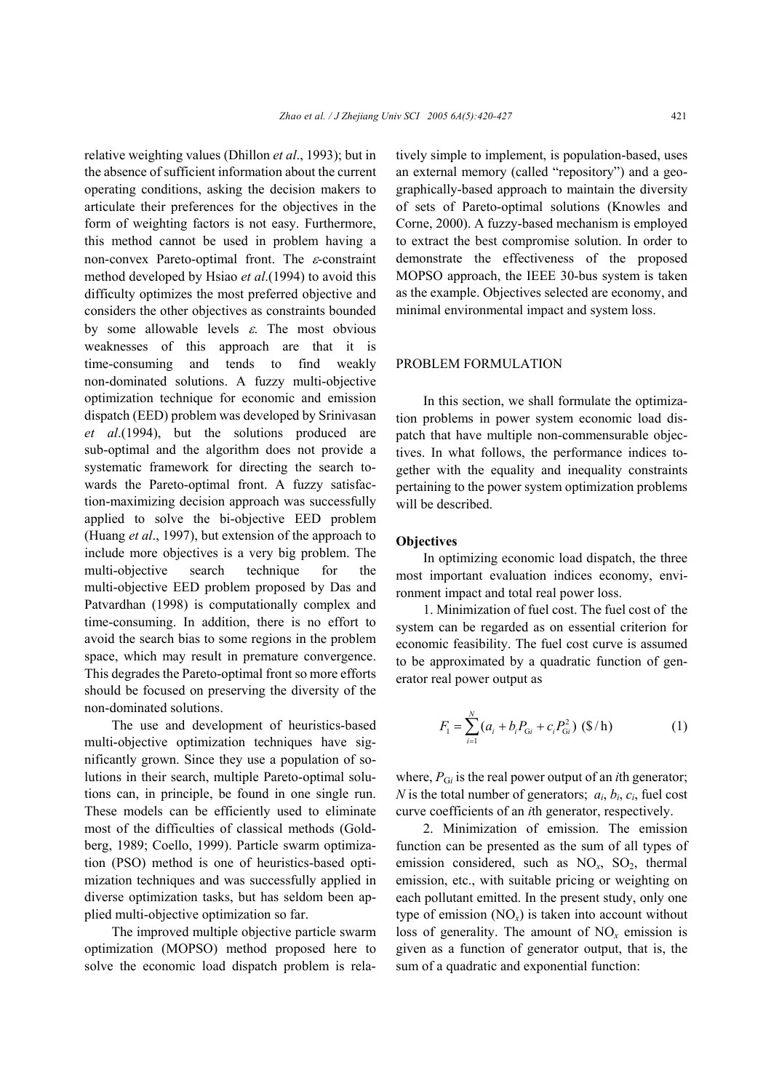relative weighting values (Dhillon *et al*., 1993); but in the absence of sufficient information about the current operating conditions, asking the decision makers to articulate their preferences for the objectives in the form of weighting factors is not easy. Furthermore, this method cannot be used in problem having a non-convex Pareto-optimal front. The ε-constraint method developed by Hsiao *et al*.(1994) to avoid this difficulty optimizes the most preferred objective and considers the other objectives as constraints bounded by some allowable levels  $\varepsilon$ . The most obvious weaknesses of this approach are that it is time-consuming and tends to find weakly non-dominated solutions. A fuzzy multi-objective optimization technique for economic and emission dispatch (EED) problem was developed by Srinivasan *et al*.(1994), but the solutions produced are sub-optimal and the algorithm does not provide a systematic framework for directing the search towards the Pareto-optimal front. A fuzzy satisfaction-maximizing decision approach was successfully applied to solve the bi-objective EED problem (Huang *et al*., 1997), but extension of the approach to include more objectives is a very big problem. The multi-objective search technique for the multi-objective EED problem proposed by Das and Patvardhan (1998) is computationally complex and time-consuming. In addition, there is no effort to avoid the search bias to some regions in the problem space, which may result in premature convergence. This degrades the Pareto-optimal front so more efforts should be focused on preserving the diversity of the non-dominated solutions.

The use and development of heuristics-based multi-objective optimization techniques have significantly grown. Since they use a population of solutions in their search, multiple Pareto-optimal solutions can, in principle, be found in one single run. These models can be efficiently used to eliminate most of the difficulties of classical methods (Goldberg, 1989; Coello, 1999). Particle swarm optimization (PSO) method is one of heuristics-based optimization techniques and was successfully applied in diverse optimization tasks, but has seldom been applied multi-objective optimization so far.

The improved multiple objective particle swarm optimization (MOPSO) method proposed here to solve the economic load dispatch problem is relatively simple to implement, is population-based, uses an external memory (called "repository") and a geographically-based approach to maintain the diversity of sets of Pareto-optimal solutions (Knowles and Corne, 2000). A fuzzy-based mechanism is employed to extract the best compromise solution. In order to demonstrate the effectiveness of the proposed MOPSO approach, the IEEE 30-bus system is taken as the example. Objectives selected are economy, and minimal environmental impact and system loss.

## PROBLEM FORMULATION

In this section, we shall formulate the optimization problems in power system economic load dispatch that have multiple non-commensurable objectives. In what follows, the performance indices together with the equality and inequality constraints pertaining to the power system optimization problems will be described.

#### **Objectives**

In optimizing economic load dispatch, the three most important evaluation indices economy, environment impact and total real power loss.

1. Minimization of fuel cost. The fuel cost of the system can be regarded as on essential criterion for economic feasibility. The fuel cost curve is assumed to be approximated by a quadratic function of generator real power output as

$$
F_1 = \sum_{i=1}^{N} (a_i + b_i P_{Gi} + c_i P_{Gi}^2) \, (\$/h)
$$
 (1)

where,  $P_{Gi}$  is the real power output of an *i*th generator; *N* is the total number of generators;  $a_i$ ,  $b_i$ ,  $c_i$ , fuel cost curve coefficients of an *i*th generator, respectively.

2. Minimization of emission. The emission function can be presented as the sum of all types of emission considered, such as  $NO<sub>x</sub>$ ,  $SO<sub>2</sub>$ , thermal emission, etc., with suitable pricing or weighting on each pollutant emitted. In the present study, only one type of emission  $(NO<sub>x</sub>)$  is taken into account without loss of generality. The amount of  $NO<sub>x</sub>$  emission is given as a function of generator output, that is, the sum of a quadratic and exponential function: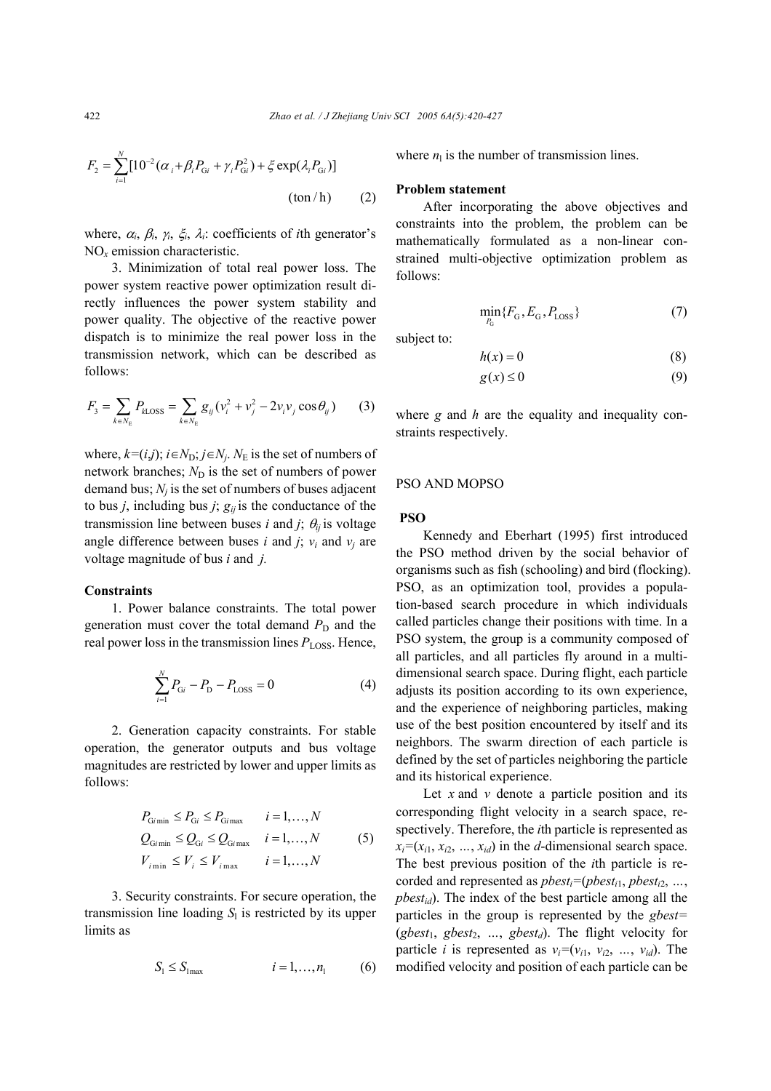$$
F_2 = \sum_{i=1}^{N} [10^{-2} (\alpha_i + \beta_i P_{Gi} + \gamma_i P_{Gi}^2) + \xi \exp(\lambda_i P_{Gi})]
$$
  
(ton/h) (2)

where,  $\alpha_i$ ,  $\beta_i$ ,  $\gamma_i$ ,  $\xi_i$ ,  $\lambda_i$ : coefficients of *i*th generator's NO*x* emission characteristic.

3. Minimization of total real power loss. The power system reactive power optimization result directly influences the power system stability and power quality. The objective of the reactive power dispatch is to minimize the real power loss in the transmission network, which can be described as follows:

$$
F_{3} = \sum_{k \in N_{E}} P_{k \text{Loss}} = \sum_{k \in N_{E}} g_{ij} (v_{i}^{2} + v_{j}^{2} - 2v_{i}v_{j} \cos \theta_{ij})
$$
 (3)

where,  $k=(i,j)$ ;  $i \in N_D$ ;  $j \in N_j$ .  $N_E$  is the set of numbers of network branches;  $N_D$  is the set of numbers of power demand bus;  $N_i$  is the set of numbers of buses adjacent to bus *j*, including bus *j*;  $g_{ij}$  is the conductance of the transmission line between buses *i* and *j*;  $\theta_{ij}$  is voltage angle difference between buses *i* and *j*;  $v_i$  and  $v_j$  are voltage magnitude of bus *i* and *j.*

# **Constraints**

1. Power balance constraints. The total power generation must cover the total demand  $P_D$  and the real power loss in the transmission lines  $P_{\text{LOSS}}$ . Hence,

$$
\sum_{i=1}^{N} P_{Gi} - P_{D} - P_{LOSS} = 0
$$
 (4)

2. Generation capacity constraints. For stable operation, the generator outputs and bus voltage magnitudes are restricted by lower and upper limits as follows:

$$
P_{G^{i_{\min}}} \le P_{Gi} \le P_{G^{i_{\max}}} \qquad i = 1,...,N
$$
  
\n
$$
Q_{G^{i_{\min}}} \le Q_{Gi} \le Q_{G^{i_{\max}}} \qquad i = 1,...,N
$$
  
\n
$$
V_{i_{\min}} \le V_i \le V_{i_{\max}} \qquad i = 1,...,N
$$
  
\n(5)

3. Security constraints. For secure operation, the transmission line loading  $S<sub>l</sub>$  is restricted by its upper limits as

$$
S_1 \le S_{\text{1max}} \qquad \qquad i = 1, \dots, n_1 \qquad \qquad (6)
$$

where  $n_1$  is the number of transmission lines.

## **Problem statement**

After incorporating the above objectives and constraints into the problem, the problem can be mathematically formulated as a non-linear constrained multi-objective optimization problem as follows:

$$
\min_{P_G} \{F_G, E_G, P_{\text{Loss}}\}\tag{7}
$$

subject to:

$$
h(x) = 0 \tag{8}
$$

$$
g(x) \le 0 \tag{9}
$$

where *g* and *h* are the equality and inequality constraints respectively.

## PSO AND MOPSO

# **PSO**

Kennedy and Eberhart (1995) first introduced the PSO method driven by the social behavior of organisms such as fish (schooling) and bird (flocking). PSO, as an optimization tool, provides a population-based search procedure in which individuals called particles change their positions with time. In a PSO system, the group is a community composed of all particles, and all particles fly around in a multidimensional search space. During flight, each particle adjusts its position according to its own experience. and the experience of neighboring particles, making use of the best position encountered by itself and its neighbors. The swarm direction of each particle is defined by the set of particles neighboring the particle and its historical experience.

Let *x* and *v* denote a particle position and its corresponding flight velocity in a search space, respectively. Therefore, the *i*th particle is represented as  $x_i=(x_{i1}, x_{i2}, \ldots, x_{id})$  in the *d*-dimensional search space. The best previous position of the *i*th particle is recorded and represented as *pbesti=*(*pbesti*1, *pbesti*2, *…*, *pbestid*). The index of the best particle among all the particles in the group is represented by the *gbest=*   $(gbest_1, gbest_2, ..., gbest_d)$ . The flight velocity for particle *i* is represented as  $v_i=(v_{i1}, v_{i2}, ..., v_{id})$ . The modified velocity and position of each particle can be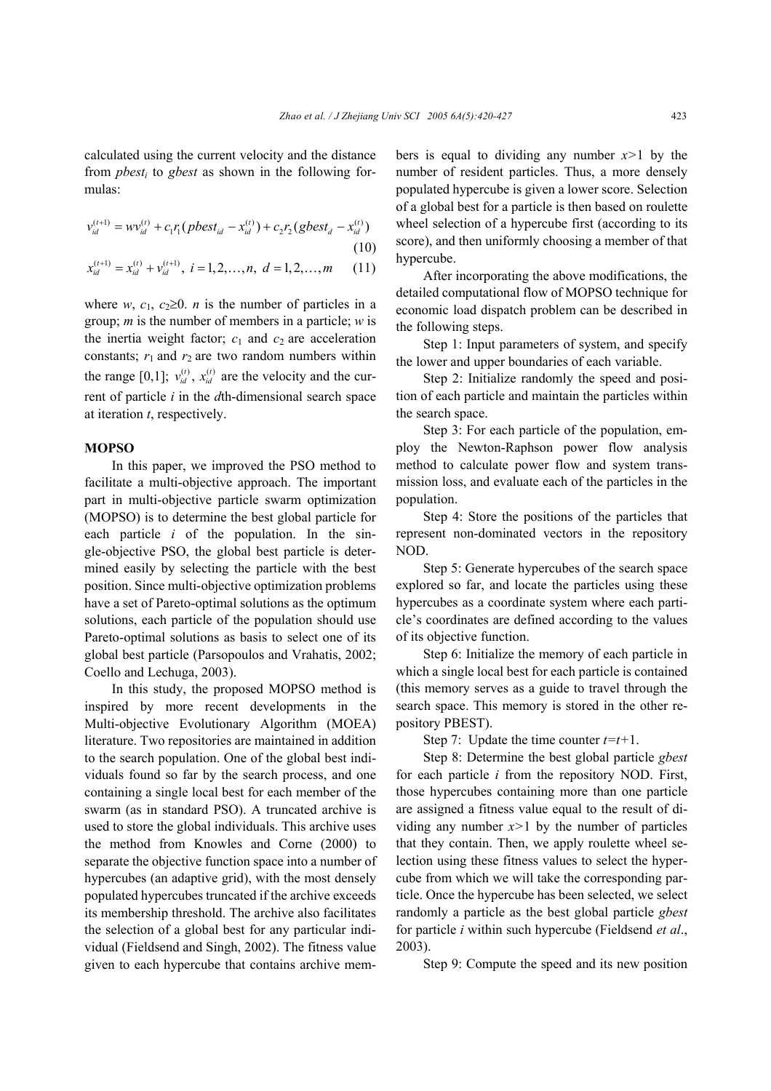calculated using the current velocity and the distance from *pbesti* to *gbest* as shown in the following formulas:

$$
v_{id}^{(t+1)} = w v_{id}^{(t)} + c_1 r_1 (pbest_{id} - x_{id}^{(t)}) + c_2 r_2 (gbest_d - x_{id}^{(t)})
$$
  
(10)  

$$
x_{id}^{(t+1)} = x_{id}^{(t)} + v_{id}^{(t+1)}, \ i = 1, 2, ..., n, \ d = 1, 2, ..., m
$$
 (11)

where  $w$ ,  $c_1$ ,  $c_2 \ge 0$ . *n* is the number of particles in a group; *m* is the number of members in a particle; *w* is the inertia weight factor;  $c_1$  and  $c_2$  are acceleration constants;  $r_1$  and  $r_2$  are two random numbers within the range [0,1];  $v_{id}^{(t)}$ ,  $x_{id}^{(t)}$  are the velocity and the current of particle *i* in the *d*th-dimensional search space at iteration *t*, respectively.

# **MOPSO**

In this paper, we improved the PSO method to facilitate a multi-objective approach. The important part in multi-objective particle swarm optimization (MOPSO) is to determine the best global particle for each particle *i* of the population. In the single-objective PSO, the global best particle is determined easily by selecting the particle with the best position. Since multi-objective optimization problems have a set of Pareto-optimal solutions as the optimum solutions, each particle of the population should use Pareto-optimal solutions as basis to select one of its global best particle (Parsopoulos and Vrahatis, 2002; Coello and Lechuga, 2003).

In this study, the proposed MOPSO method is inspired by more recent developments in the Multi-objective Evolutionary Algorithm (MOEA) literature. Two repositories are maintained in addition to the search population. One of the global best individuals found so far by the search process, and one containing a single local best for each member of the swarm (as in standard PSO). A truncated archive is used to store the global individuals. This archive uses the method from Knowles and Corne (2000) to separate the objective function space into a number of hypercubes (an adaptive grid), with the most densely populated hypercubes truncated if the archive exceeds its membership threshold. The archive also facilitates the selection of a global best for any particular individual (Fieldsend and Singh, 2002). The fitness value given to each hypercube that contains archive members is equal to dividing any number *x>*1 by the number of resident particles. Thus, a more densely populated hypercube is given a lower score. Selection of a global best for a particle is then based on roulette wheel selection of a hypercube first (according to its score), and then uniformly choosing a member of that hypercube.

After incorporating the above modifications, the detailed computational flow of MOPSO technique for economic load dispatch problem can be described in the following steps.

Step 1: Input parameters of system, and specify the lower and upper boundaries of each variable.

Step 2: Initialize randomly the speed and position of each particle and maintain the particles within the search space.

Step 3: For each particle of the population, employ the Newton-Raphson power flow analysis method to calculate power flow and system transmission loss, and evaluate each of the particles in the population.

Step 4: Store the positions of the particles that represent non-dominated vectors in the repository NOD.

Step 5: Generate hypercubes of the search space explored so far, and locate the particles using these hypercubes as a coordinate system where each particle's coordinates are defined according to the values of its objective function.

Step 6: Initialize the memory of each particle in which a single local best for each particle is contained (this memory serves as a guide to travel through the search space. This memory is stored in the other repository PBEST).

Step 7: Update the time counter *t=t+*1.

Step 8: Determine the best global particle *gbest*  for each particle *i* from the repository NOD. First, those hypercubes containing more than one particle are assigned a fitness value equal to the result of dividing any number  $x>1$  by the number of particles that they contain. Then, we apply roulette wheel selection using these fitness values to select the hypercube from which we will take the corresponding particle. Once the hypercube has been selected, we select randomly a particle as the best global particle *gbest* for particle *i* within such hypercube (Fieldsend *et al*., 2003).

Step 9: Compute the speed and its new position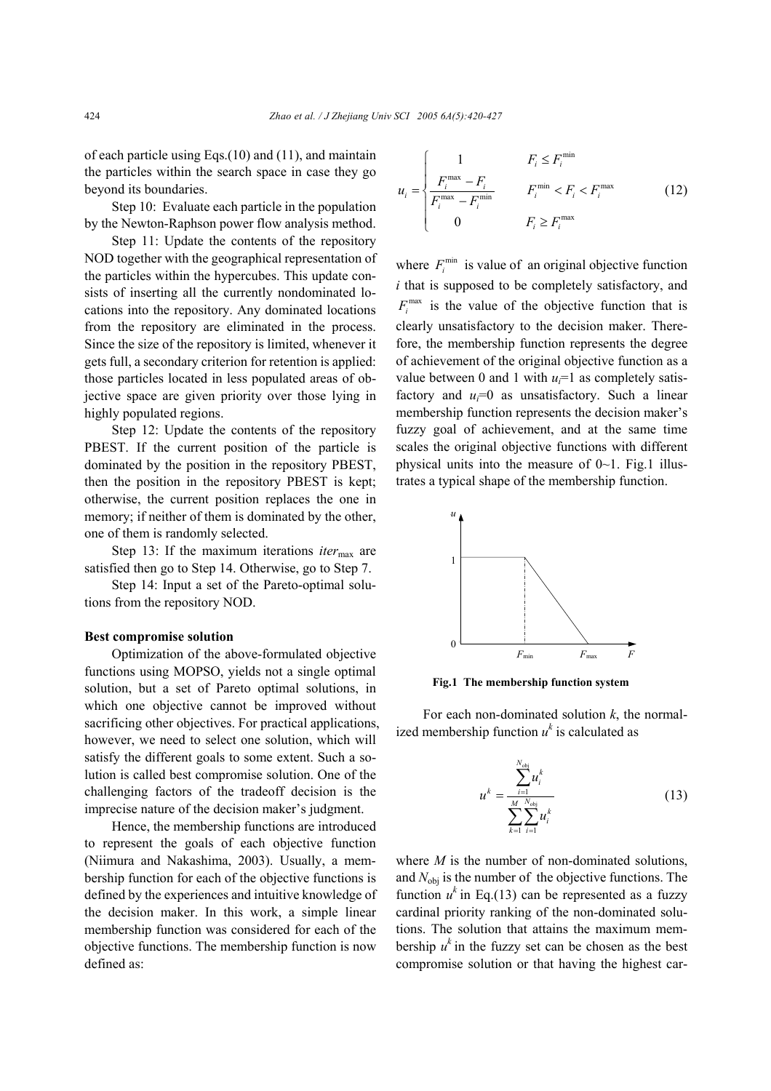of each particle using Eqs.(10) and (11), and maintain the particles within the search space in case they go beyond its boundaries.

Step 10: Evaluate each particle in the population by the Newton-Raphson power flow analysis method.

Step 11: Update the contents of the repository NOD together with the geographical representation of the particles within the hypercubes. This update consists of inserting all the currently nondominated locations into the repository. Any dominated locations from the repository are eliminated in the process. Since the size of the repository is limited, whenever it gets full, a secondary criterion for retention is applied: those particles located in less populated areas of objective space are given priority over those lying in highly populated regions.

Step 12: Update the contents of the repository PBEST. If the current position of the particle is dominated by the position in the repository PBEST, then the position in the repository PBEST is kept; otherwise, the current position replaces the one in memory; if neither of them is dominated by the other, one of them is randomly selected.

Step 13: If the maximum iterations *iter*<sub>max</sub> are satisfied then go to Step 14. Otherwise, go to Step 7.

Step 14: Input a set of the Pareto-optimal solutions from the repository NOD.

## **Best compromise solution**

Optimization of the above-formulated objective functions using MOPSO, yields not a single optimal solution, but a set of Pareto optimal solutions, in which one objective cannot be improved without sacrificing other objectives. For practical applications, however, we need to select one solution, which will satisfy the different goals to some extent. Such a solution is called best compromise solution. One of the challenging factors of the tradeoff decision is the imprecise nature of the decision maker's judgment.

Hence, the membership functions are introduced to represent the goals of each objective function (Niimura and Nakashima, 2003). Usually, a membership function for each of the objective functions is defined by the experiences and intuitive knowledge of the decision maker. In this work, a simple linear membership function was considered for each of the objective functions. The membership function is now defined as:

$$
u_i = \begin{cases} 1 & F_i \le F_i^{\min} \\ \frac{F_i^{\max} - F_i}{F_i^{\max} - F_i^{\min}} & F_i^{\min} < F_i < F_i^{\max} \\ 0 & F_i \ge F_i^{\max} \end{cases} \tag{12}
$$

where  $F_i^{\text{min}}$  is value of an original objective function *i* that is supposed to be completely satisfactory, and  $F_i^{\text{max}}$  is the value of the objective function that is clearly unsatisfactory to the decision maker. Therefore, the membership function represents the degree of achievement of the original objective function as a value between 0 and 1 with  $u_i=1$  as completely satisfactory and  $u_i=0$  as unsatisfactory. Such a linear membership function represents the decision maker's fuzzy goal of achievement, and at the same time scales the original objective functions with different physical units into the measure of  $0 \sim 1$ . Fig.1 illustrates a typical shape of the membership function.



**Fig.1 The membership function system** 

For each non-dominated solution *k*, the normalized membership function  $u^k$  is calculated as

$$
u^{k} = \frac{\sum_{i=1}^{N_{\text{obj}}} u_{i}^{k}}{\sum_{k=1}^{M} \sum_{i=1}^{N_{\text{obj}}} u_{i}^{k}}
$$
(13)

where *M* is the number of non-dominated solutions, and  $N_{\text{obj}}$  is the number of the objective functions. The function  $u^k$  in Eq.(13) can be represented as a fuzzy cardinal priority ranking of the non-dominated solutions. The solution that attains the maximum membership  $u^k$  in the fuzzy set can be chosen as the best compromise solution or that having the highest car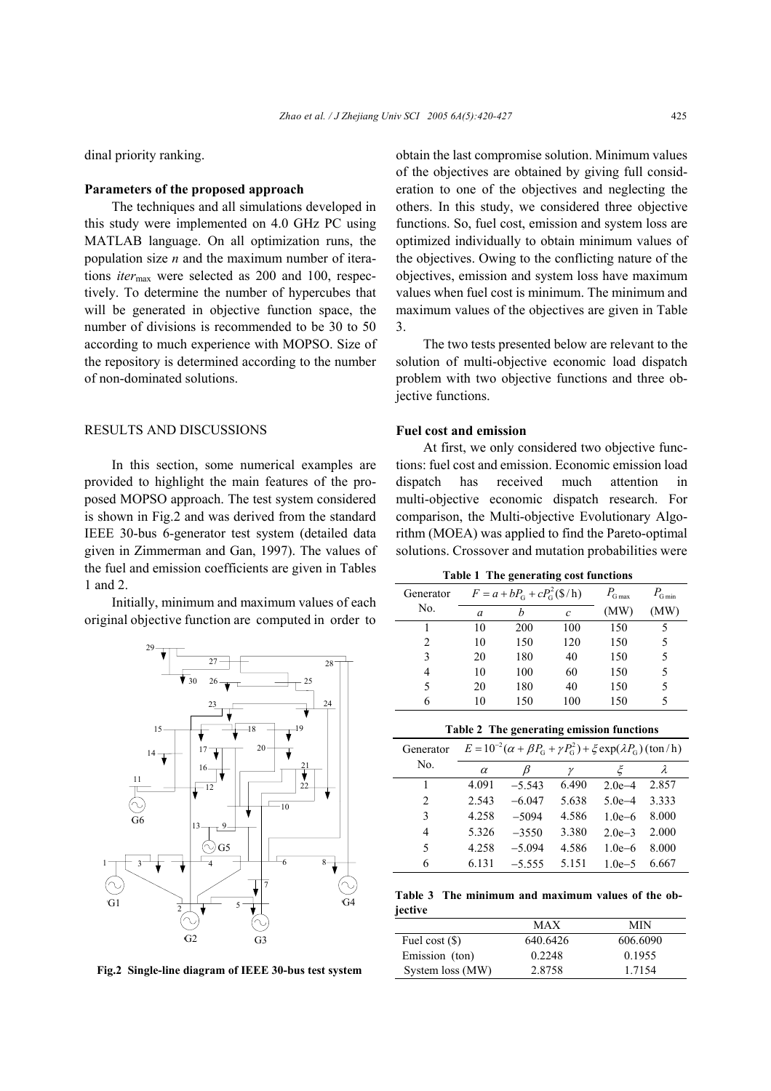dinal priority ranking.

# **Parameters of the proposed approach**

The techniques and all simulations developed in this study were implemented on 4.0 GHz PC using MATLAB language. On all optimization runs, the population size *n* and the maximum number of iterations *iter*max were selected as 200 and 100, respectively. To determine the number of hypercubes that will be generated in objective function space, the number of divisions is recommended to be 30 to 50 according to much experience with MOPSO. Size of the repository is determined according to the number of non-dominated solutions.

# RESULTS AND DISCUSSIONS

In this section, some numerical examples are provided to highlight the main features of the proposed MOPSO approach. The test system considered is shown in Fig.2 and was derived from the standard IEEE 30-bus 6-generator test system (detailed data given in Zimmerman and Gan, 1997). The values of the fuel and emission coefficients are given in Tables 1 and 2.

Initially, minimum and maximum values of each original objective function are computed in order to



Fig.2 Single-line diagram of IEEE 30-bus test system

obtain the last compromise solution. Minimum values of the objectives are obtained by giving full consideration to one of the objectives and neglecting the others. In this study, we considered three objective functions. So, fuel cost, emission and system loss are optimized individually to obtain minimum values of the objectives. Owing to the conflicting nature of the objectives, emission and system loss have maximum values when fuel cost is minimum. The minimum and maximum values of the objectives are given in Table 3.

The two tests presented below are relevant to the solution of multi-objective economic load dispatch problem with two objective functions and three objective functions.

## **Fuel cost and emission**

At first, we only considered two objective functions: fuel cost and emission. Economic emission load dispatch has received much attention in multi-objective economic dispatch research. For comparison, the Multi-objective Evolutionary Algorithm (MOEA) was applied to find the Pareto-optimal solutions. Crossover and mutation probabilities were

|  |  | Table 1 The generating cost functions |  |  |
|--|--|---------------------------------------|--|--|
|--|--|---------------------------------------|--|--|

| Generator | $F = a + bP_{G} + cP_{G}^{2}(\$/h)$ |     |     | $P_{\text{G max}}$ | $P_{\text{G min}}$ |
|-----------|-------------------------------------|-----|-----|--------------------|--------------------|
| No.       | a                                   | h   | C   | (MW)               | (MW)               |
|           | 10                                  | 200 | 100 | 150                | 5                  |
| 2         | 10                                  | 150 | 120 | 150                | 5                  |
| 3         | 20                                  | 180 | 40  | 150                | 5                  |
| 4         | 10                                  | 100 | 60  | 150                | 5                  |
| 5         | 20                                  | 180 | 40  | 150                | 5                  |
| 6         | 10                                  | 150 | 100 | 150                | 5                  |

**Table 2 The generating emission functions** 

| Generator      | $E = 10^{-2}(\alpha + \beta P_{\rm G} + \gamma P_{\rm G}^2) + \xi \exp(\lambda P_{\rm G})$ (ton/h) |          |       |          |       |
|----------------|----------------------------------------------------------------------------------------------------|----------|-------|----------|-------|
| No.            | $\alpha$                                                                                           | ß        | γ     |          | λ     |
| 1              | 4.091                                                                                              | $-5.543$ | 6.490 | $2.0e-4$ | 2.857 |
| $\mathfrak{D}$ | 2.543                                                                                              | $-6.047$ | 5.638 | $5.0e-4$ | 3.333 |
| 3              | 4.258                                                                                              | $-5094$  | 4.586 | $1.0e-6$ | 8.000 |
| 4              | 5.326                                                                                              | $-3550$  | 3.380 | $2.0e-3$ | 2.000 |
| 5              | 4.258                                                                                              | $-5.094$ | 4.586 | $1.0e-6$ | 8.000 |
| 6              | 6 1 3 1                                                                                            | $-5.555$ | 5.151 | $1.0e-5$ | 6.667 |

**Table 3 The minimum and maximum values of the objective**

|                  | MAX      | МIN      |
|------------------|----------|----------|
| Fuel cost (\$)   | 640.6426 | 606.6090 |
| Emission (ton)   | 0.2248   | 0.1955   |
| System loss (MW) | 2.8758   | 1.7154   |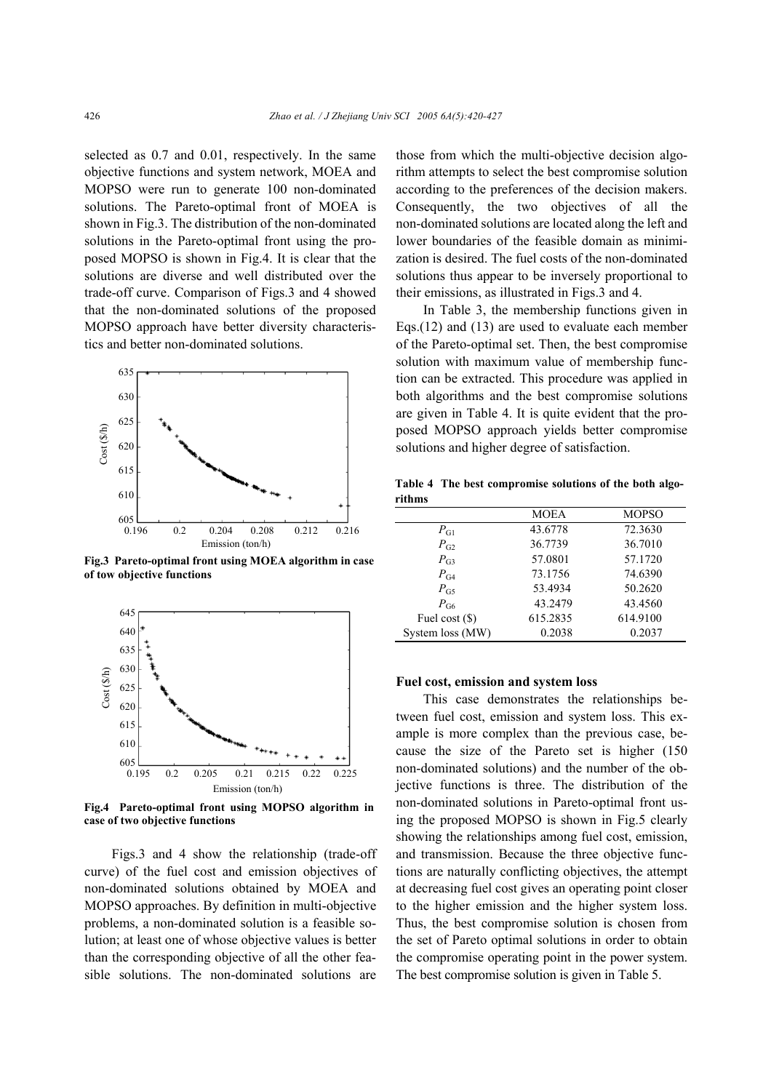selected as 0.7 and 0.01, respectively. In the same objective functions and system network, MOEA and MOPSO were run to generate 100 non-dominated solutions. The Pareto-optimal front of MOEA is shown in Fig.3. The distribution of the non-dominated solutions in the Pareto-optimal front using the proposed MOPSO is shown in Fig.4. It is clear that the solutions are diverse and well distributed over the trade-off curve. Comparison of Figs.3 and 4 showed that the non-dominated solutions of the proposed MOPSO approach have better diversity characteristics and better non-dominated solutions.



**Fig.3 Pareto-optimal front using MOEA algorithm in case**



**Fig.4 Pareto-optimal front using MOPSO algorithm in**

Figs.3 and 4 show the relationship (trade-off curve) of the fuel cost and emission objectives of non-dominated solutions obtained by MOEA and MOPSO approaches. By definition in multi-objective problems, a non-dominated solution is a feasible solution; at least one of whose objective values is better than the corresponding objective of all the other feasible solutions. The non-dominated solutions are those from which the multi-objective decision algorithm attempts to select the best compromise solution according to the preferences of the decision makers. Consequently, the two objectives of all the non-dominated solutions are located along the left and lower boundaries of the feasible domain as minimization is desired. The fuel costs of the non-dominated solutions thus appear to be inversely proportional to their emissions, as illustrated in Figs.3 and 4.

In Table 3, the membership functions given in Eqs.(12) and (13) are used to evaluate each member of the Pareto-optimal set. Then, the best compromise solution with maximum value of membership function can be extracted. This procedure was applied in both algorithms and the best compromise solutions are given in Table 4. It is quite evident that the proposed MOPSO approach yields better compromise solutions and higher degree of satisfaction.

**Table 4 The best compromise solutions of the both algorithms**

|                  | <b>MOEA</b> | <b>MOPSO</b> |
|------------------|-------------|--------------|
| $P_{G1}$         | 43.6778     | 72.3630      |
| $P_{\rm G2}$     | 36.7739     | 36.7010      |
| $P_{G3}$         | 57.0801     | 57.1720      |
| $P_{G4}$         | 73.1756     | 74.6390      |
| $P_{GS}$         | 53.4934     | 50.2620      |
| $P_{G6}$         | 43.2479     | 43.4560      |
| Fuel cost $(\$)$ | 615.2835    | 614.9100     |
| System loss (MW) | 0.2038      | 0.2037       |

## **Fuel cost, emission and system loss**

This case demonstrates the relationships between fuel cost, emission and system loss. This example is more complex than the previous case, because the size of the Pareto set is higher (150 non-dominated solutions) and the number of the objective functions is three. The distribution of the non-dominated solutions in Pareto-optimal front using the proposed MOPSO is shown in Fig.5 clearly showing the relationships among fuel cost, emission, and transmission. Because the three objective functions are naturally conflicting objectives, the attempt at decreasing fuel cost gives an operating point closer to the higher emission and the higher system loss. Thus, the best compromise solution is chosen from the set of Pareto optimal solutions in order to obtain the compromise operating point in the power system. The best compromise solution is given in Table 5.